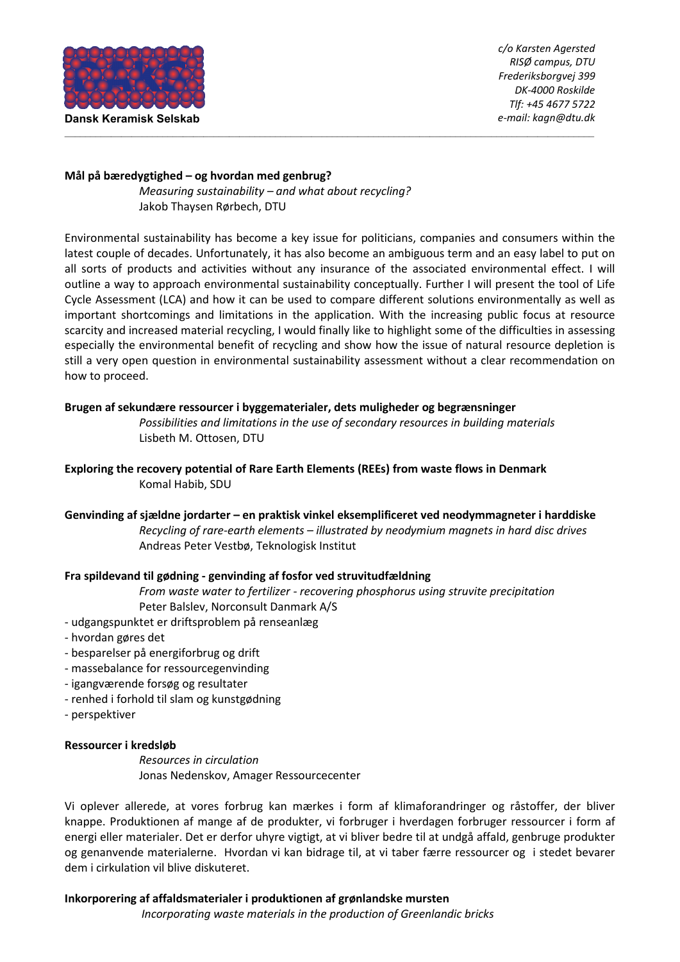

### **Mål på bæredygtighed – og hvordan med genbrug?**

*Measuring sustainability – and what about recycling?*  Jakob Thaysen Rørbech, DTU

Environmental sustainability has become a key issue for politicians, companies and consumers within the latest couple of decades. Unfortunately, it has also become an ambiguous term and an easy label to put on all sorts of products and activities without any insurance of the associated environmental effect. I will outline a way to approach environmental sustainability conceptually. Further I will present the tool of Life Cycle Assessment (LCA) and how it can be used to compare different solutions environmentally as well as important shortcomings and limitations in the application. With the increasing public focus at resource scarcity and increased material recycling, I would finally like to highlight some of the difficulties in assessing especially the environmental benefit of recycling and show how the issue of natural resource depletion is still a very open question in environmental sustainability assessment without a clear recommendation on how to proceed.

\_\_\_\_\_\_\_\_\_\_\_\_\_\_\_\_\_\_\_\_\_\_\_\_\_\_\_\_\_\_\_\_\_\_\_\_\_\_\_\_\_\_\_\_\_\_\_\_\_\_\_\_\_\_\_\_\_\_\_\_\_\_\_\_\_\_\_\_\_\_\_\_\_\_\_\_\_\_\_\_\_\_\_\_\_\_\_\_\_\_\_\_\_\_\_\_\_\_\_\_\_\_\_

# **Brugen af sekundære ressourcer i byggematerialer, dets muligheder og begrænsninger**

*Possibilities and limitations in the use of secondary resources in building materials*  Lisbeth M. Ottosen, DTU

**Exploring the recovery potential of Rare Earth Elements (REEs) from waste flows in Denmark**  Komal Habib, SDU

**Genvinding af sjældne jordarter – en praktisk vinkel eksemplificeret ved neodymmagneter i harddiske**  *Recycling of rare-earth elements – illustrated by neodymium magnets in hard disc drives* Andreas Peter Vestbø, Teknologisk Institut

# **Fra spildevand til gødning - genvinding af fosfor ved struvitudfældning**

*From waste water to fertilizer - recovering phosphorus using struvite precipitation*  Peter Balslev, Norconsult Danmark A/S

- udgangspunktet er driftsproblem på renseanlæg
- hvordan gøres det
- besparelser på energiforbrug og drift
- massebalance for ressourcegenvinding
- igangværende forsøg og resultater
- renhed i forhold til slam og kunstgødning
- perspektiver

# **Ressourcer i kredsløb**

*Resources in circulation*  Jonas Nedenskov, Amager Ressourcecenter

Vi oplever allerede, at vores forbrug kan mærkes i form af klimaforandringer og råstoffer, der bliver knappe. Produktionen af mange af de produkter, vi forbruger i hverdagen forbruger ressourcer i form af energi eller materialer. Det er derfor uhyre vigtigt, at vi bliver bedre til at undgå affald, genbruge produkter og genanvende materialerne. Hvordan vi kan bidrage til, at vi taber færre ressourcer og i stedet bevarer dem i cirkulation vil blive diskuteret.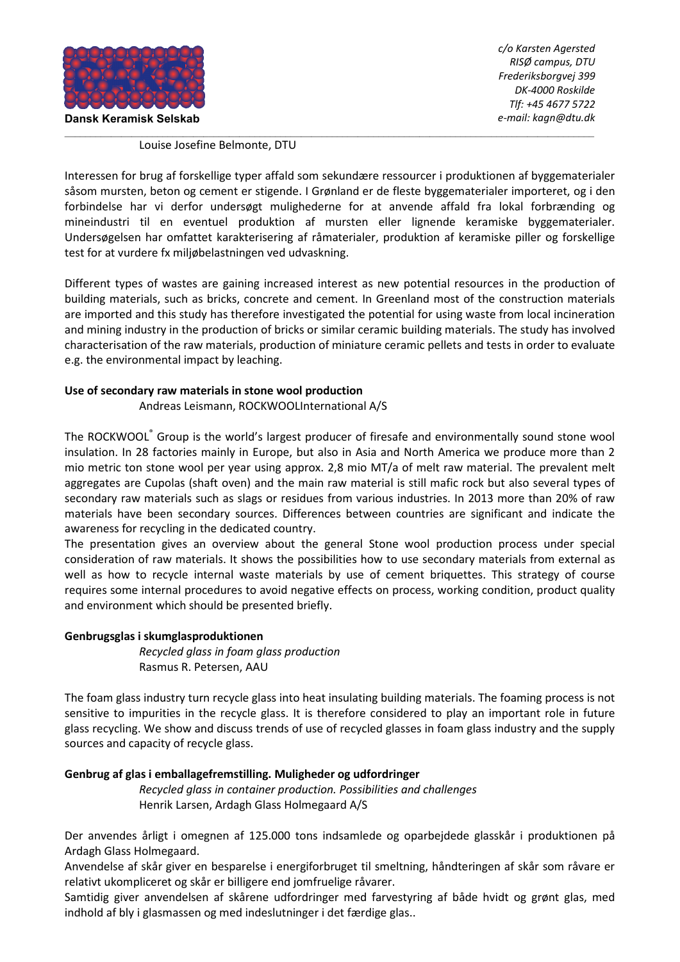

#### \_\_\_\_\_\_\_\_\_\_\_\_\_\_\_\_\_\_\_\_\_\_\_\_\_\_\_\_\_\_\_\_\_\_\_\_\_\_\_\_\_\_\_\_\_\_\_\_\_\_\_\_\_\_\_\_\_\_\_\_\_\_\_\_\_\_\_\_\_\_\_\_\_\_\_\_\_\_\_\_\_\_\_\_\_\_\_\_\_\_\_\_\_\_\_\_\_\_\_\_\_\_\_ Louise Josefine Belmonte, DTU

Interessen for brug af forskellige typer affald som sekundære ressourcer i produktionen af byggematerialer såsom mursten, beton og cement er stigende. I Grønland er de fleste byggematerialer importeret, og i den forbindelse har vi derfor undersøgt mulighederne for at anvende affald fra lokal forbrænding og mineindustri til en eventuel produktion af mursten eller lignende keramiske byggematerialer. Undersøgelsen har omfattet karakterisering af råmaterialer, produktion af keramiske piller og forskellige test for at vurdere fx miljøbelastningen ved udvaskning.

Different types of wastes are gaining increased interest as new potential resources in the production of building materials, such as bricks, concrete and cement. In Greenland most of the construction materials are imported and this study has therefore investigated the potential for using waste from local incineration and mining industry in the production of bricks or similar ceramic building materials. The study has involved characterisation of the raw materials, production of miniature ceramic pellets and tests in order to evaluate e.g. the environmental impact by leaching.

# **Use of secondary raw materials in stone wool production**

Andreas Leismann, ROCKWOOLInternational A/S

The ROCKWOOL® Group is the world's largest producer of firesafe and environmentally sound stone wool insulation. In 28 factories mainly in Europe, but also in Asia and North America we produce more than 2 mio metric ton stone wool per year using approx. 2,8 mio MT/a of melt raw material. The prevalent melt aggregates are Cupolas (shaft oven) and the main raw material is still mafic rock but also several types of secondary raw materials such as slags or residues from various industries. In 2013 more than 20% of raw materials have been secondary sources. Differences between countries are significant and indicate the awareness for recycling in the dedicated country.

The presentation gives an overview about the general Stone wool production process under special consideration of raw materials. It shows the possibilities how to use secondary materials from external as well as how to recycle internal waste materials by use of cement briquettes. This strategy of course requires some internal procedures to avoid negative effects on process, working condition, product quality and environment which should be presented briefly.

### **Genbrugsglas i skumglasproduktionen**

*Recycled glass in foam glass production*  Rasmus R. Petersen, AAU

The foam glass industry turn recycle glass into heat insulating building materials. The foaming process is not sensitive to impurities in the recycle glass. It is therefore considered to play an important role in future glass recycling. We show and discuss trends of use of recycled glasses in foam glass industry and the supply sources and capacity of recycle glass.

# **Genbrug af glas i emballagefremstilling. Muligheder og udfordringer**

*Recycled glass in container production. Possibilities and challenges*  Henrik Larsen, Ardagh Glass Holmegaard A/S

Der anvendes årligt i omegnen af 125.000 tons indsamlede og oparbejdede glasskår i produktionen på Ardagh Glass Holmegaard.

Anvendelse af skår giver en besparelse i energiforbruget til smeltning, håndteringen af skår som råvare er relativt ukompliceret og skår er billigere end jomfruelige råvarer.

Samtidig giver anvendelsen af skårene udfordringer med farvestyring af både hvidt og grønt glas, med indhold af bly i glasmassen og med indeslutninger i det færdige glas..